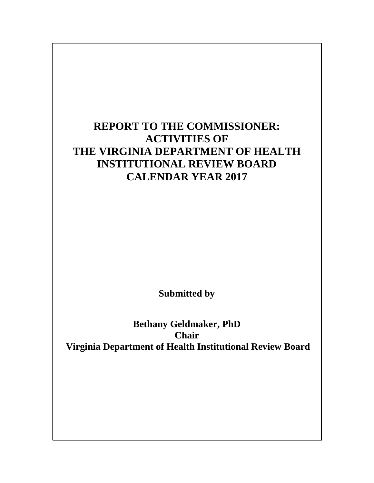# **REPORT TO THE COMMISSIONER: ACTIVITIES OF THE VIRGINIA DEPARTMENT OF HEALTH INSTITUTIONAL REVIEW BOARD CALENDAR YEAR 2017**

**Submitted by**

**Bethany Geldmaker, PhD Chair Virginia Department of Health Institutional Review Board**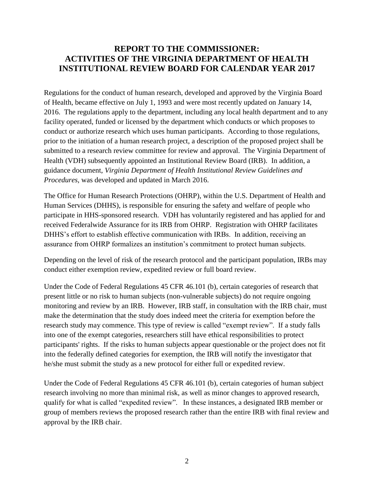## **REPORT TO THE COMMISSIONER: ACTIVITIES OF THE VIRGINIA DEPARTMENT OF HEALTH INSTITUTIONAL REVIEW BOARD FOR CALENDAR YEAR 2017**

Regulations for the conduct of human research, developed and approved by the Virginia Board of Health, became effective on July 1, 1993 and were most recently updated on January 14, 2016. The regulations apply to the department, including any local health department and to any facility operated, funded or licensed by the department which conducts or which proposes to conduct or authorize research which uses human participants. According to those regulations, prior to the initiation of a human research project, a description of the proposed project shall be submitted to a research review committee for review and approval. The Virginia Department of Health (VDH) subsequently appointed an Institutional Review Board (IRB). In addition, a guidance document, *Virginia Department of Health Institutional Review Guidelines and Procedures,* was developed and updated in March 2016.

The Office for Human Research Protections (OHRP), within the U.S. Department of Health and Human Services (DHHS), is responsible for ensuring the safety and welfare of people who participate in HHS-sponsored research. VDH has voluntarily registered and has applied for and received Federalwide Assurance for its IRB from OHRP. Registration with OHRP facilitates DHHS's effort to establish effective communication with IRBs. In addition, receiving an assurance from OHRP formalizes an institution's commitment to protect human subjects.

Depending on the level of risk of the research protocol and the participant population, IRBs may conduct either exemption review, expedited review or full board review.

Under the Code of Federal Regulations 45 CFR 46.101 (b), certain categories of research that present little or no risk to human subjects (non-vulnerable subjects) do not require ongoing monitoring and review by an IRB. However, IRB staff, in consultation with the IRB chair, must make the determination that the study does indeed meet the criteria for exemption before the research study may commence. This type of review is called "exempt review". If a study falls into one of the exempt categories, researchers still have ethical responsibilities to protect participants' rights. If the risks to human subjects appear questionable or the project does not fit into the federally defined categories for exemption, the IRB will notify the investigator that he/she must submit the study as a new protocol for either full or expedited review.

Under the Code of Federal Regulations 45 CFR 46.101 (b), certain categories of human subject research involving no more than minimal risk, as well as minor changes to approved research, qualify for what is called "expedited review". In these instances, a designated IRB member or group of members reviews the proposed research rather than the entire IRB with final review and approval by the IRB chair.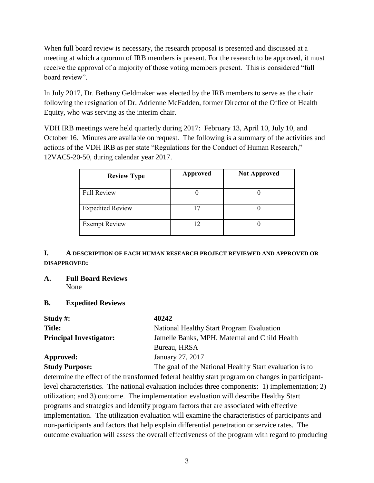When full board review is necessary, the research proposal is presented and discussed at a meeting at which a quorum of IRB members is present. For the research to be approved, it must receive the approval of a majority of those voting members present. This is considered "full board review".

In July 2017, Dr. Bethany Geldmaker was elected by the IRB members to serve as the chair following the resignation of Dr. Adrienne McFadden, former Director of the Office of Health Equity, who was serving as the interim chair.

VDH IRB meetings were held quarterly during 2017: February 13, April 10, July 10, and October 16. Minutes are available on request. The following is a summary of the activities and actions of the VDH IRB as per state "Regulations for the Conduct of Human Research," 12VAC5-20-50, during calendar year 2017.

| <b>Review Type</b>      | <b>Approved</b> | <b>Not Approved</b> |
|-------------------------|-----------------|---------------------|
| <b>Full Review</b>      |                 |                     |
| <b>Expedited Review</b> |                 |                     |
| <b>Exempt Review</b>    |                 |                     |

### **I. A DESCRIPTION OF EACH HUMAN RESEARCH PROJECT REVIEWED AND APPROVED OR DISAPPROVED:**

**A. Full Board Reviews** None

#### **B. Expedited Reviews**

| Study $\#$ :                   | 40242                                                   |
|--------------------------------|---------------------------------------------------------|
| <b>Title:</b>                  | National Healthy Start Program Evaluation               |
| <b>Principal Investigator:</b> | Jamelle Banks, MPH, Maternal and Child Health           |
|                                | Bureau, HRSA                                            |
| Approved:                      | January 27, 2017                                        |
| $C_{\text{tridi}}$ Durnages    | The good of the Nettenel Hoolthy Stort evaluation is to |

**Study Purpose:** The goal of the National Healthy Start evaluation is to determine the effect of the transformed federal healthy start program on changes in participantlevel characteristics. The national evaluation includes three components: 1) implementation; 2) utilization; and 3) outcome. The implementation evaluation will describe Healthy Start programs and strategies and identify program factors that are associated with effective implementation. The utilization evaluation will examine the characteristics of participants and non-participants and factors that help explain differential penetration or service rates. The outcome evaluation will assess the overall effectiveness of the program with regard to producing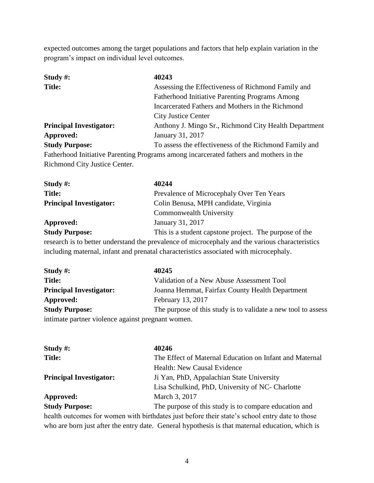expected outcomes among the target populations and factors that help explain variation in the program's impact on individual level outcomes.

| Study $#$ :                    | 40243                                                                                  |
|--------------------------------|----------------------------------------------------------------------------------------|
| <b>Title:</b>                  | Assessing the Effectiveness of Richmond Family and                                     |
|                                | <b>Fatherhood Initiative Parenting Programs Among</b>                                  |
|                                | Incarcerated Fathers and Mothers in the Richmond                                       |
|                                | <b>City Justice Center</b>                                                             |
| <b>Principal Investigator:</b> | Anthony J. Mingo Sr., Richmond City Health Department                                  |
| Approved:                      | January 31, 2017                                                                       |
| <b>Study Purpose:</b>          | To assess the effectiveness of the Richmond Family and                                 |
|                                | Fatherhood Initiative Parenting Programs among incarcerated fathers and mothers in the |
| Richmond City Justice Center.  |                                                                                        |

| Study $#$ :                    | 40244                                                                                           |
|--------------------------------|-------------------------------------------------------------------------------------------------|
| <b>Title:</b>                  | Prevalence of Microcephaly Over Ten Years                                                       |
| <b>Principal Investigator:</b> | Colin Benusa, MPH candidate, Virginia                                                           |
|                                | <b>Commonwealth University</b>                                                                  |
| <b>Approved:</b>               | January 31, 2017                                                                                |
| <b>Study Purpose:</b>          | This is a student capstone project. The purpose of the                                          |
|                                | research is to better understand the prevalence of microcephaly and the various characteristics |
|                                | including maternal, infant and prenatal characteristics associated with microcephaly.           |

| Study $\#$ :                                      | 40245                                                         |
|---------------------------------------------------|---------------------------------------------------------------|
| <b>Title:</b>                                     | Validation of a New Abuse Assessment Tool                     |
| <b>Principal Investigator:</b>                    | Joanna Hemmat, Fairfax County Health Department               |
| Approved:                                         | February 13, 2017                                             |
| <b>Study Purpose:</b>                             | The purpose of this study is to validate a new tool to assess |
| intimate partner violence against pregnant women. |                                                               |

| Study $#$ :                    | 40246                                                                                          |
|--------------------------------|------------------------------------------------------------------------------------------------|
| <b>Title:</b>                  | The Effect of Maternal Education on Infant and Maternal                                        |
|                                | Health: New Causal Evidence                                                                    |
| <b>Principal Investigator:</b> | Ji Yan, PhD, Appalachian State University                                                      |
|                                | Lisa Schulkind, PhD, University of NC- Charlotte                                               |
| Approved:                      | March 3, 2017                                                                                  |
| <b>Study Purpose:</b>          | The purpose of this study is to compare education and                                          |
|                                | health outcomes for women with birthdates just before their state's school entry date to those |

who are born just after the entry date. General hypothesis is that maternal education, which is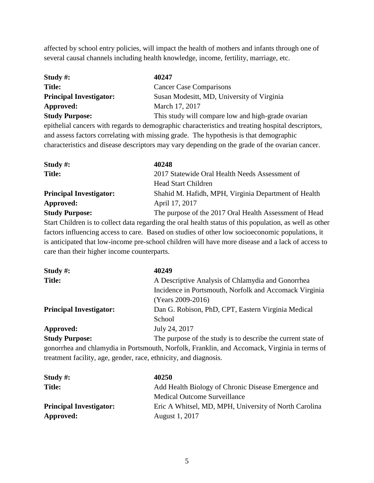affected by school entry policies, will impact the health of mothers and infants through one of several causal channels including health knowledge, income, fertility, marriage, etc.

| Study #:                       | 40247                                              |
|--------------------------------|----------------------------------------------------|
| <b>Title:</b>                  | <b>Cancer Case Comparisons</b>                     |
| <b>Principal Investigator:</b> | Susan Modesitt, MD, University of Virginia         |
| Approved:                      | March 17, 2017                                     |
| <b>Study Purpose:</b>          | This study will compare low and high-grade ovarian |

epithelial cancers with regards to demographic characteristics and treating hospital descriptors, and assess factors correlating with missing grade. The hypothesis is that demographic characteristics and disease descriptors may vary depending on the grade of the ovarian cancer.

| Study $\#$ :                   | 40248                                                  |
|--------------------------------|--------------------------------------------------------|
| <b>Title:</b>                  | 2017 Statewide Oral Health Needs Assessment of         |
|                                | <b>Head Start Children</b>                             |
| <b>Principal Investigator:</b> | Shahid M. Hafidh, MPH, Virginia Department of Health   |
| Approved:                      | April 17, 2017                                         |
| <b>Study Purpose:</b>          | The purpose of the 2017 Oral Health Assessment of Head |

Start Children is to collect data regarding the oral health status of this population, as well as other factors influencing access to care. Based on studies of other low socioeconomic populations, it is anticipated that low-income pre-school children will have more disease and a lack of access to care than their higher income counterparts.

| Study $#$ :                    | 40249                                                        |
|--------------------------------|--------------------------------------------------------------|
| <b>Title:</b>                  | A Descriptive Analysis of Chlamydia and Gonorrhea            |
|                                | Incidence in Portsmouth, Norfolk and Accomack Virginia       |
|                                | (Years 2009-2016)                                            |
| <b>Principal Investigator:</b> | Dan G. Robison, PhD, CPT, Eastern Virginia Medical           |
|                                | School                                                       |
| Approved:                      | July 24, 2017                                                |
| <b>Study Purpose:</b>          | The purpose of the study is to describe the current state of |

gonorrhea and chlamydia in Portsmouth, Norfolk, Franklin, and Accomack, Virginia in terms of treatment facility, age, gender, race, ethnicity, and diagnosis.

| Study $\#$ :                   | 40250                                                 |
|--------------------------------|-------------------------------------------------------|
| <b>Title:</b>                  | Add Health Biology of Chronic Disease Emergence and   |
|                                | Medical Outcome Surveillance                          |
| <b>Principal Investigator:</b> | Eric A Whitsel, MD, MPH, University of North Carolina |
| Approved:                      | August 1, 2017                                        |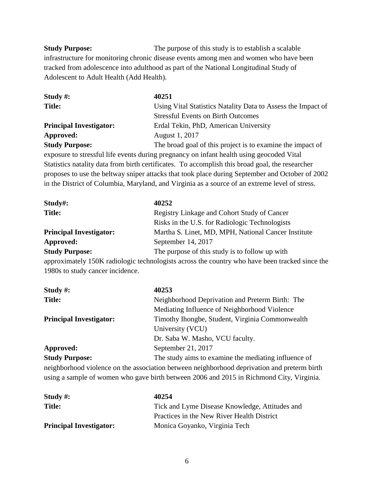**Study Purpose:** The purpose of this study is to establish a scalable infrastructure for monitoring chronic disease events among men and women who have been tracked from adolescence into adulthood as part of the National Longitudinal Study of Adolescent to Adult Health (Add Health).

| Study $\#$ :                   | 40251                                                        |
|--------------------------------|--------------------------------------------------------------|
| <b>Title:</b>                  | Using Vital Statistics Natality Data to Assess the Impact of |
|                                | <b>Stressful Events on Birth Outcomes</b>                    |
| <b>Principal Investigator:</b> | Erdal Tekin, PhD, American University                        |
| Approved:                      | August 1, 2017                                               |
| <b>Study Purpose:</b>          | The broad goal of this project is to examine the impact of   |

exposure to stressful life events during pregnancy on infant health using geocoded Vital Statistics natality data from birth certificates. To accomplish this broad goal, the researcher proposes to use the beltway sniper attacks that took place during September and October of 2002 in the District of Columbia, Maryland, and Virginia as a source of an extreme level of stress.

| $Study\#:$                     | 40252                                                                                          |
|--------------------------------|------------------------------------------------------------------------------------------------|
| <b>Title:</b>                  | Registry Linkage and Cohort Study of Cancer                                                    |
|                                | Risks in the U.S. for Radiologic Technologists                                                 |
| <b>Principal Investigator:</b> | Martha S. Linet, MD, MPH, National Cancer Institute                                            |
| Approved:                      | September 14, 2017                                                                             |
| <b>Study Purpose:</b>          | The purpose of this study is to follow up with                                                 |
|                                | approximately 150K radiologic technologists across the country who have been tracked since the |

1980s to study cancer incidence.

| Study $#$ :                    | 40253                                                                                       |
|--------------------------------|---------------------------------------------------------------------------------------------|
| <b>Title:</b>                  | Neighborhood Deprivation and Preterm Birth: The                                             |
|                                | Mediating Influence of Neighborhood Violence                                                |
| <b>Principal Investigator:</b> | Timothy Ihongbe, Student, Virginia Commonwealth                                             |
|                                | University (VCU)                                                                            |
|                                | Dr. Saba W. Masho, VCU faculty.                                                             |
| Approved:                      | September 21, 2017                                                                          |
| <b>Study Purpose:</b>          | The study aims to examine the mediating influence of                                        |
|                                | neighborhood violence on the association between neighborhood deprivation and preterm birth |
|                                | using a sample of women who gave birth between 2006 and 2015 in Richmond City, Virginia.    |

| Study $\#$ :                   | 40254                                          |
|--------------------------------|------------------------------------------------|
| <b>Title:</b>                  | Tick and Lyme Disease Knowledge, Attitudes and |
|                                | Practices in the New River Health District     |
| <b>Principal Investigator:</b> | Monica Goyanko, Virginia Tech                  |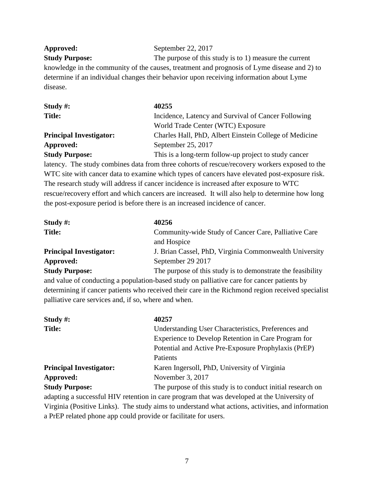**Approved:** September 22, 2017

**Study Purpose:** The purpose of this study is to 1) measure the current knowledge in the community of the causes, treatment and prognosis of Lyme disease and 2) to determine if an individual changes their behavior upon receiving information about Lyme disease.

| Study #:                       | 40255                                                  |
|--------------------------------|--------------------------------------------------------|
| <b>Title:</b>                  | Incidence, Latency and Survival of Cancer Following    |
|                                | World Trade Center (WTC) Exposure                      |
| <b>Principal Investigator:</b> | Charles Hall, PhD, Albert Einstein College of Medicine |
| Approved:                      | September 25, 2017                                     |
| <b>Study Purpose:</b>          | This is a long-term follow-up project to study cancer  |

latency. The study combines data from three cohorts of rescue/recovery workers exposed to the WTC site with cancer data to examine which types of cancers have elevated post-exposure risk. The research study will address if cancer incidence is increased after exposure to WTC rescue/recovery effort and which cancers are increased. It will also help to determine how long the post-exposure period is before there is an increased incidence of cancer.

| Study $\#$ :                   | 40256                                                       |
|--------------------------------|-------------------------------------------------------------|
| <b>Title:</b>                  | Community-wide Study of Cancer Care, Palliative Care        |
|                                | and Hospice                                                 |
| <b>Principal Investigator:</b> | J. Brian Cassel, PhD, Virginia Commonwealth University      |
| Approved:                      | September 29 2017                                           |
| <b>Study Purpose:</b>          | The purpose of this study is to demonstrate the feasibility |

and value of conducting a population-based study on palliative care for cancer patients by determining if cancer patients who received their care in the Richmond region received specialist palliative care services and, if so, where and when.

| Study $#$ :                    | 40257                                                                                       |
|--------------------------------|---------------------------------------------------------------------------------------------|
| <b>Title:</b>                  | Understanding User Characteristics, Preferences and                                         |
|                                | Experience to Develop Retention in Care Program for                                         |
|                                | Potential and Active Pre-Exposure Prophylaxis (PrEP)                                        |
|                                | Patients                                                                                    |
| <b>Principal Investigator:</b> | Karen Ingersoll, PhD, University of Virginia                                                |
| Approved:                      | November 3, 2017                                                                            |
| <b>Study Purpose:</b>          | The purpose of this study is to conduct initial research on                                 |
|                                | adapting a successful HIV retention in care program that was developed at the University of |

Virginia (Positive Links). The study aims to understand what actions, activities, and information a PrEP related phone app could provide or facilitate for users.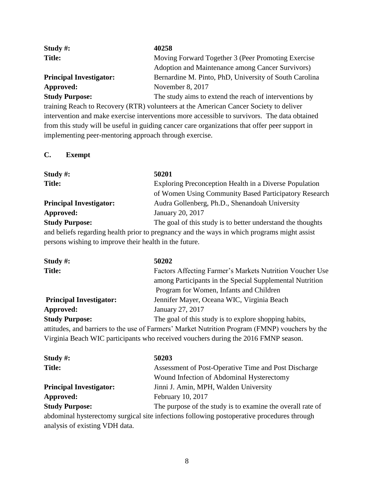| Study $\#$ :                   | 40258                                                  |
|--------------------------------|--------------------------------------------------------|
| <b>Title:</b>                  | Moving Forward Together 3 (Peer Promoting Exercise     |
|                                | Adoption and Maintenance among Cancer Survivors)       |
| <b>Principal Investigator:</b> | Bernardine M. Pinto, PhD, University of South Carolina |
| Approved:                      | November 8, 2017                                       |
| <b>Study Purpose:</b>          | The study aims to extend the reach of interventions by |

training Reach to Recovery (RTR) volunteers at the American Cancer Society to deliver intervention and make exercise interventions more accessible to survivors. The data obtained from this study will be useful in guiding cancer care organizations that offer peer support in implementing peer-mentoring approach through exercise.

#### **C. Exempt**

| Study #:                                                                                    | 50201                                                       |
|---------------------------------------------------------------------------------------------|-------------------------------------------------------------|
| <b>Title:</b>                                                                               | Exploring Preconception Health in a Diverse Population      |
|                                                                                             | of Women Using Community Based Participatory Research       |
| <b>Principal Investigator:</b>                                                              | Audra Gollenberg, Ph.D., Shenandoah University              |
| Approved:                                                                                   | January 20, 2017                                            |
| <b>Study Purpose:</b>                                                                       | The goal of this study is to better understand the thoughts |
| and beliefs regarding health prior to pregnancy and the ways in which programs might assist |                                                             |
| persons wishing to improve their health in the future.                                      |                                                             |

| Study $\#$ :                   | 50202                                                                                          |
|--------------------------------|------------------------------------------------------------------------------------------------|
| <b>Title:</b>                  | Factors Affecting Farmer's Markets Nutrition Voucher Use                                       |
|                                | among Participants in the Special Supplemental Nutrition                                       |
|                                | Program for Women, Infants and Children                                                        |
| <b>Principal Investigator:</b> | Jennifer Mayer, Oceana WIC, Virginia Beach                                                     |
| Approved:                      | January 27, 2017                                                                               |
| <b>Study Purpose:</b>          | The goal of this study is to explore shopping habits,                                          |
|                                | attitudes, and barriers to the use of Farmers' Market Nutrition Program (FMNP) vouchers by the |
|                                | Virginia Beach WIC participants who received vouchers during the 2016 FMNP season.             |

| Study $\#$ :                   | 50203                                                                                      |
|--------------------------------|--------------------------------------------------------------------------------------------|
| <b>Title:</b>                  | Assessment of Post-Operative Time and Post Discharge                                       |
|                                | Wound Infection of Abdominal Hysterectomy                                                  |
| <b>Principal Investigator:</b> | Jinni J. Amin, MPH, Walden University                                                      |
| Approved:                      | February 10, 2017                                                                          |
| <b>Study Purpose:</b>          | The purpose of the study is to examine the overall rate of                                 |
|                                | abdominal hysterectomy surgical site infections following postoperative procedures through |

analysis of existing VDH data.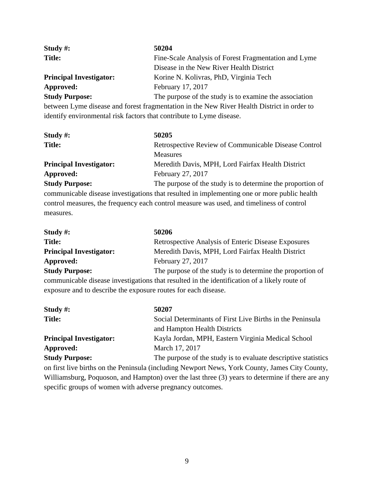| Study $\#$ :                   | 50204                                                  |
|--------------------------------|--------------------------------------------------------|
| <b>Title:</b>                  | Fine-Scale Analysis of Forest Fragmentation and Lyme   |
|                                | Disease in the New River Health District               |
| <b>Principal Investigator:</b> | Korine N. Kolivras, PhD, Virginia Tech                 |
| Approved:                      | February 17, 2017                                      |
| <b>Study Purpose:</b>          | The purpose of the study is to examine the association |

between Lyme disease and forest fragmentation in the New River Health District in order to identify environmental risk factors that contribute to Lyme disease.

| Study $\#$ :                   | 50205                                                      |
|--------------------------------|------------------------------------------------------------|
| <b>Title:</b>                  | Retrospective Review of Communicable Disease Control       |
|                                | <b>Measures</b>                                            |
| <b>Principal Investigator:</b> | Meredith Davis, MPH, Lord Fairfax Health District          |
| Approved:                      | February 27, 2017                                          |
| <b>Study Purpose:</b>          | The purpose of the study is to determine the proportion of |
|                                |                                                            |

communicable disease investigations that resulted in implementing one or more public health control measures, the frequency each control measure was used, and timeliness of control measures.

| Study $\#$ :                                                                                 | 50206                                                      |
|----------------------------------------------------------------------------------------------|------------------------------------------------------------|
| <b>Title:</b>                                                                                | Retrospective Analysis of Enteric Disease Exposures        |
| <b>Principal Investigator:</b>                                                               | Meredith Davis, MPH, Lord Fairfax Health District          |
| Approved:                                                                                    | February 27, 2017                                          |
| <b>Study Purpose:</b>                                                                        | The purpose of the study is to determine the proportion of |
| communicable disease investigations that resulted in the identification of a likely route of |                                                            |
| exposure and to describe the exposure routes for each disease.                               |                                                            |

| Study $\#$ :                   | 50207                                                          |  |
|--------------------------------|----------------------------------------------------------------|--|
| <b>Title:</b>                  | Social Determinants of First Live Births in the Peninsula      |  |
|                                | and Hampton Health Districts                                   |  |
| <b>Principal Investigator:</b> | Kayla Jordan, MPH, Eastern Virginia Medical School             |  |
| Approved:                      | March 17, 2017                                                 |  |
| <b>Study Purpose:</b>          | The purpose of the study is to evaluate descriptive statistics |  |
|                                |                                                                |  |

on first live births on the Peninsula (including Newport News, York County, James City County, Williamsburg, Poquoson, and Hampton) over the last three (3) years to determine if there are any specific groups of women with adverse pregnancy outcomes.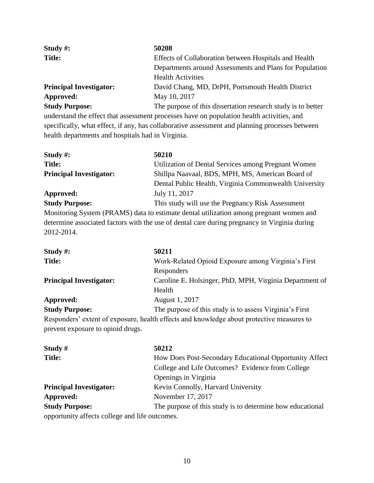| Study $#$ :                    | 50208                                                        |  |
|--------------------------------|--------------------------------------------------------------|--|
| <b>Title:</b>                  | Effects of Collaboration between Hospitals and Health        |  |
|                                | Departments around Assessments and Plans for Population      |  |
|                                | <b>Health Activities</b>                                     |  |
| <b>Principal Investigator:</b> | David Chang, MD, DrPH, Portsmouth Health District            |  |
| Approved:                      | May 10, 2017                                                 |  |
| <b>Study Purpose:</b>          | The purpose of this dissertation research study is to better |  |

understand the effect that assessment processes have on population health activities, and specifically, what effect, if any, has collaborative assessment and planning processes between health departments and hospitals had in Virginia.

| Study #:                       | 50210                                                                                        |
|--------------------------------|----------------------------------------------------------------------------------------------|
| <b>Title:</b>                  | Utilization of Dental Services among Pregnant Women                                          |
| <b>Principal Investigator:</b> | Shillpa Naavaal, BDS, MPH, MS, American Board of                                             |
|                                | Dental Public Health, Virginia Commonwealth University                                       |
| Approved:                      | July 11, 2017                                                                                |
| <b>Study Purpose:</b>          | This study will use the Pregnancy Risk Assessment                                            |
|                                | Monitoring System (PRAMS) data to estimate dental utilization among pregnant women and       |
|                                | determine associated factors with the use of dental care during pregnancy in Virginia during |
| 2012-2014.                     |                                                                                              |

**Study #: 50211 Title:** Work-Related Opioid Exposure among Virginia's First Responders **Principal Investigator:** Caroline E. Holsinger, PhD, MPH, Virginia Department of Health **Approved:** August 1, 2017

# **Study Purpose:** The purpose of this study is to assess Virginia's First

Responders' extent of exposure, health effects and knowledge about protective measures to prevent exposure to opioid drugs.

| Study $#$                                      | 50212                                                     |
|------------------------------------------------|-----------------------------------------------------------|
| <b>Title:</b>                                  | How Does Post-Secondary Educational Opportunity Affect    |
|                                                | College and Life Outcomes? Evidence from College          |
|                                                | Openings in Virginia                                      |
| <b>Principal Investigator:</b>                 | Kevin Connolly, Harvard University                        |
| Approved:                                      | November 17, 2017                                         |
| <b>Study Purpose:</b>                          | The purpose of this study is to determine how educational |
| opportunity affects college and life outcomes. |                                                           |